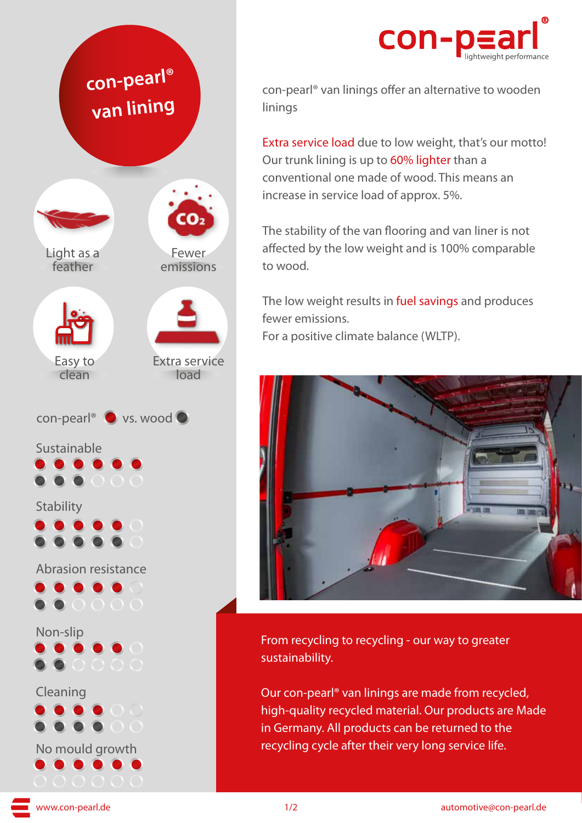



con-pearl® van linings offer an alternative to wooden linings

Extra service load due to low weight, that's our motto! Our trunk lining is up to 60% lighter than a conventional one made of wood. This means an increase in service load of approx. 5%.

The stability of the van flooring and van liner is not affected by the low weight and is 100% comparable to wood.

The low weight results in fuel savings and produces fewer emissions. For a positive climate balance (WLTP).



From recycling to recycling - our way to greater sustainability.

Our con-pearl® van linings are made from recycled, high-quality recycled material. Our products are Made in Germany. All products can be returned to the recycling cycle after their very long service life.